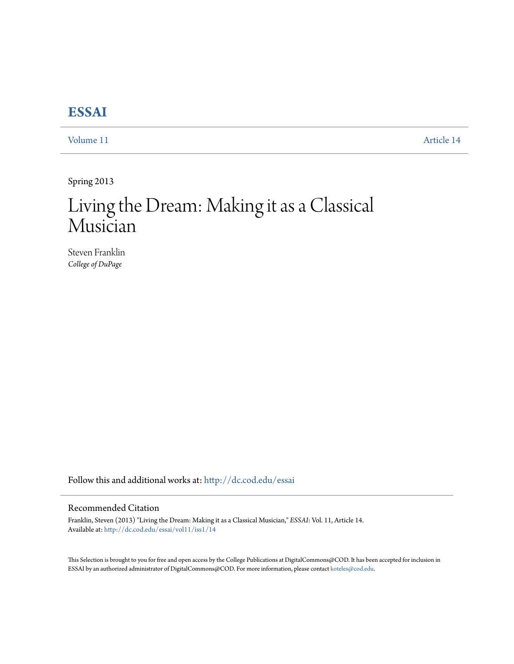## **[ESSAI](http://dc.cod.edu/essai?utm_source=dc.cod.edu%2Fessai%2Fvol11%2Fiss1%2F14&utm_medium=PDF&utm_campaign=PDFCoverPages)**

[Volume 11](http://dc.cod.edu/essai/vol11?utm_source=dc.cod.edu%2Fessai%2Fvol11%2Fiss1%2F14&utm_medium=PDF&utm_campaign=PDFCoverPages) [Article 14](http://dc.cod.edu/essai/vol11/iss1/14?utm_source=dc.cod.edu%2Fessai%2Fvol11%2Fiss1%2F14&utm_medium=PDF&utm_campaign=PDFCoverPages)

Spring 2013

# Living the Dream: Making it as a Classical Musician

Steven Franklin *College of DuPage*

Follow this and additional works at: [http://dc.cod.edu/essai](http://dc.cod.edu/essai?utm_source=dc.cod.edu%2Fessai%2Fvol11%2Fiss1%2F14&utm_medium=PDF&utm_campaign=PDFCoverPages)

### Recommended Citation

Franklin, Steven (2013) "Living the Dream: Making it as a Classical Musician," *ESSAI*: Vol. 11, Article 14. Available at: [http://dc.cod.edu/essai/vol11/iss1/14](http://dc.cod.edu/essai/vol11/iss1/14?utm_source=dc.cod.edu%2Fessai%2Fvol11%2Fiss1%2F14&utm_medium=PDF&utm_campaign=PDFCoverPages)

This Selection is brought to you for free and open access by the College Publications at DigitalCommons@COD. It has been accepted for inclusion in ESSAI by an authorized administrator of DigitalCommons@COD. For more information, please contact [koteles@cod.edu](mailto:koteles@cod.edu).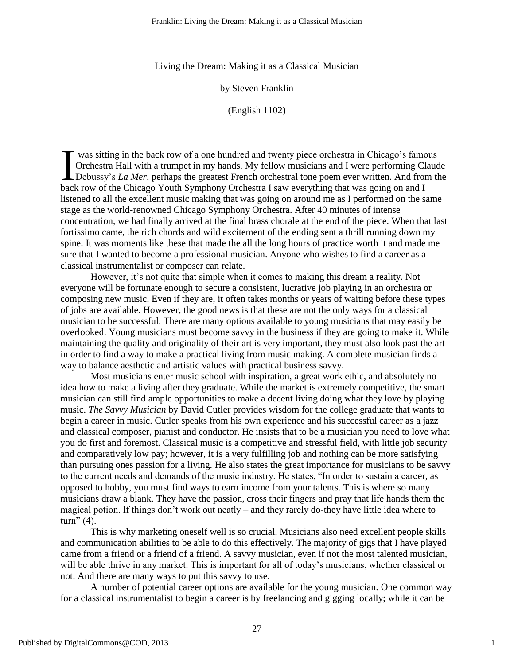Living the Dream: Making it as a Classical Musician

by Steven Franklin

(English 1102)

was sitting in the back row of a one hundred and twenty piece orchestra in Chicago's famous Orchestra Hall with a trumpet in my hands. My fellow musicians and I were performing Claude Debussy's *La Mer*, perhaps the greatest French orchestral tone poem ever written. And from the back row of the Chicago Youth Symphony Orchestra I saw everything that was going on and I listened to all the excellent music making that was going on around me as I performed on the same stage as the world-renowned Chicago Symphony Orchestra. After 40 minutes of intense concentration, we had finally arrived at the final brass chorale at the end of the piece. When that last fortissimo came, the rich chords and wild excitement of the ending sent a thrill running down my spine. It was moments like these that made the all the long hours of practice worth it and made me sure that I wanted to become a professional musician. Anyone who wishes to find a career as a classical instrumentalist or composer can relate.  $\prod_{\text{hard}}$ 

However, it's not quite that simple when it comes to making this dream a reality. Not everyone will be fortunate enough to secure a consistent, lucrative job playing in an orchestra or composing new music. Even if they are, it often takes months or years of waiting before these types of jobs are available. However, the good news is that these are not the only ways for a classical musician to be successful. There are many options available to young musicians that may easily be overlooked. Young musicians must become savvy in the business if they are going to make it. While maintaining the quality and originality of their art is very important, they must also look past the art in order to find a way to make a practical living from music making. A complete musician finds a way to balance aesthetic and artistic values with practical business savvy.

Most musicians enter music school with inspiration, a great work ethic, and absolutely no idea how to make a living after they graduate. While the market is extremely competitive, the smart musician can still find ample opportunities to make a decent living doing what they love by playing music. *The Savvy Musician* by David Cutler provides wisdom for the college graduate that wants to begin a career in music. Cutler speaks from his own experience and his successful career as a jazz and classical composer, pianist and conductor. He insists that to be a musician you need to love what you do first and foremost. Classical music is a competitive and stressful field, with little job security and comparatively low pay; however, it is a very fulfilling job and nothing can be more satisfying than pursuing ones passion for a living. He also states the great importance for musicians to be savvy to the current needs and demands of the music industry. He states, "In order to sustain a career, as opposed to hobby, you must find ways to earn income from your talents. This is where so many musicians draw a blank. They have the passion, cross their fingers and pray that life hands them the magical potion. If things don't work out neatly – and they rarely do-they have little idea where to  $turn''(4)$ .

This is why marketing oneself well is so crucial. Musicians also need excellent people skills and communication abilities to be able to do this effectively. The majority of gigs that I have played came from a friend or a friend of a friend. A savvy musician, even if not the most talented musician, will be able thrive in any market. This is important for all of today's musicians, whether classical or not. And there are many ways to put this savvy to use.

A number of potential career options are available for the young musician. One common way for a classical instrumentalist to begin a career is by freelancing and gigging locally; while it can be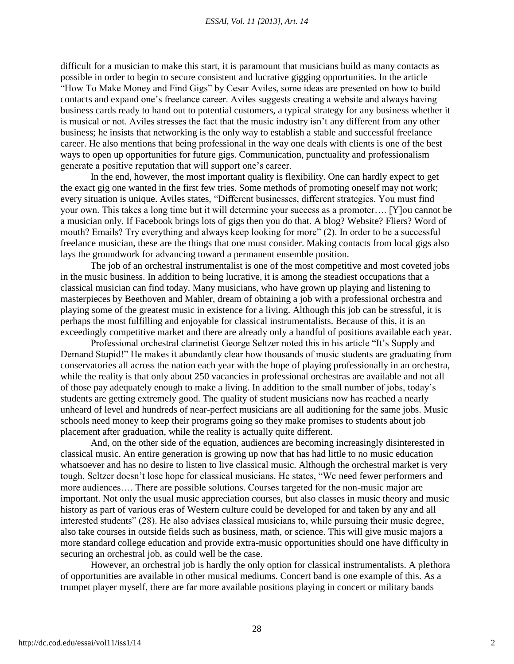#### *ESSAI, Vol. 11 [2013], Art. 14*

difficult for a musician to make this start, it is paramount that musicians build as many contacts as possible in order to begin to secure consistent and lucrative gigging opportunities. In the article "How To Make Money and Find Gigs" by Cesar Aviles, some ideas are presented on how to build contacts and expand one's freelance career. Aviles suggests creating a website and always having business cards ready to hand out to potential customers, a typical strategy for any business whether it is musical or not. Aviles stresses the fact that the music industry isn't any different from any other business; he insists that networking is the only way to establish a stable and successful freelance career. He also mentions that being professional in the way one deals with clients is one of the best ways to open up opportunities for future gigs. Communication, punctuality and professionalism generate a positive reputation that will support one's career.

In the end, however, the most important quality is flexibility. One can hardly expect to get the exact gig one wanted in the first few tries. Some methods of promoting oneself may not work; every situation is unique. Aviles states, "Different businesses, different strategies. You must find your own. This takes a long time but it will determine your success as a promoter…. [Y]ou cannot be a musician only. If Facebook brings lots of gigs then you do that. A blog? Website? Fliers? Word of mouth? Emails? Try everything and always keep looking for more" (2). In order to be a successful freelance musician, these are the things that one must consider. Making contacts from local gigs also lays the groundwork for advancing toward a permanent ensemble position.

The job of an orchestral instrumentalist is one of the most competitive and most coveted jobs in the music business. In addition to being lucrative, it is among the steadiest occupations that a classical musician can find today. Many musicians, who have grown up playing and listening to masterpieces by Beethoven and Mahler, dream of obtaining a job with a professional orchestra and playing some of the greatest music in existence for a living. Although this job can be stressful, it is perhaps the most fulfilling and enjoyable for classical instrumentalists. Because of this, it is an exceedingly competitive market and there are already only a handful of positions available each year.

Professional orchestral clarinetist George Seltzer noted this in his article "It's Supply and Demand Stupid!" He makes it abundantly clear how thousands of music students are graduating from conservatories all across the nation each year with the hope of playing professionally in an orchestra, while the reality is that only about 250 vacancies in professional orchestras are available and not all of those pay adequately enough to make a living. In addition to the small number of jobs, today's students are getting extremely good. The quality of student musicians now has reached a nearly unheard of level and hundreds of near-perfect musicians are all auditioning for the same jobs. Music schools need money to keep their programs going so they make promises to students about job placement after graduation, while the reality is actually quite different.

And, on the other side of the equation, audiences are becoming increasingly disinterested in classical music. An entire generation is growing up now that has had little to no music education whatsoever and has no desire to listen to live classical music. Although the orchestral market is very tough, Seltzer doesn't lose hope for classical musicians. He states, "We need fewer performers and more audiences…. There are possible solutions. Courses targeted for the non-music major are important. Not only the usual music appreciation courses, but also classes in music theory and music history as part of various eras of Western culture could be developed for and taken by any and all interested students" (28). He also advises classical musicians to, while pursuing their music degree, also take courses in outside fields such as business, math, or science. This will give music majors a more standard college education and provide extra-music opportunities should one have difficulty in securing an orchestral job, as could well be the case.

However, an orchestral job is hardly the only option for classical instrumentalists. A plethora of opportunities are available in other musical mediums. Concert band is one example of this. As a trumpet player myself, there are far more available positions playing in concert or military bands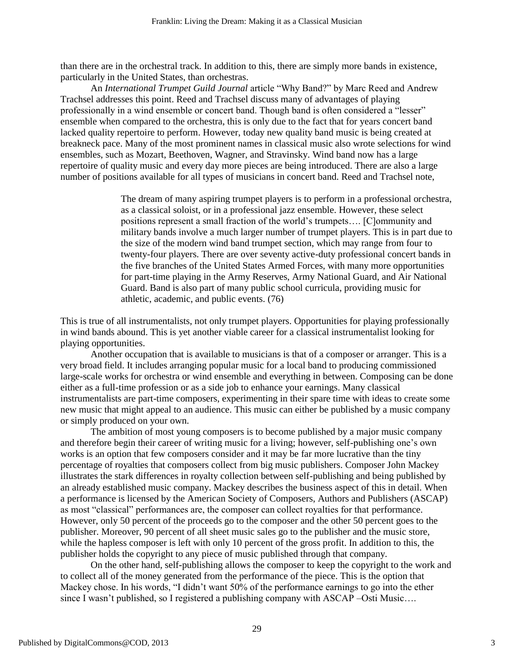than there are in the orchestral track. In addition to this, there are simply more bands in existence, particularly in the United States, than orchestras.

An *International Trumpet Guild Journal* article "Why Band?" by Marc Reed and Andrew Trachsel addresses this point. Reed and Trachsel discuss many of advantages of playing professionally in a wind ensemble or concert band. Though band is often considered a "lesser" ensemble when compared to the orchestra, this is only due to the fact that for years concert band lacked quality repertoire to perform. However, today new quality band music is being created at breakneck pace. Many of the most prominent names in classical music also wrote selections for wind ensembles, such as Mozart, Beethoven, Wagner, and Stravinsky. Wind band now has a large repertoire of quality music and every day more pieces are being introduced. There are also a large number of positions available for all types of musicians in concert band. Reed and Trachsel note,

> The dream of many aspiring trumpet players is to perform in a professional orchestra, as a classical soloist, or in a professional jazz ensemble. However, these select positions represent a small fraction of the world's trumpets…. [C]ommunity and military bands involve a much larger number of trumpet players. This is in part due to the size of the modern wind band trumpet section, which may range from four to twenty-four players. There are over seventy active-duty professional concert bands in the five branches of the United States Armed Forces, with many more opportunities for part-time playing in the Army Reserves, Army National Guard, and Air National Guard. Band is also part of many public school curricula, providing music for athletic, academic, and public events. (76)

This is true of all instrumentalists, not only trumpet players. Opportunities for playing professionally in wind bands abound. This is yet another viable career for a classical instrumentalist looking for playing opportunities.

Another occupation that is available to musicians is that of a composer or arranger. This is a very broad field. It includes arranging popular music for a local band to producing commissioned large-scale works for orchestra or wind ensemble and everything in between. Composing can be done either as a full-time profession or as a side job to enhance your earnings. Many classical instrumentalists are part-time composers, experimenting in their spare time with ideas to create some new music that might appeal to an audience. This music can either be published by a music company or simply produced on your own.

The ambition of most young composers is to become published by a major music company and therefore begin their career of writing music for a living; however, self-publishing one's own works is an option that few composers consider and it may be far more lucrative than the tiny percentage of royalties that composers collect from big music publishers. Composer John Mackey illustrates the stark differences in royalty collection between self-publishing and being published by an already established music company. Mackey describes the business aspect of this in detail. When a performance is licensed by the American Society of Composers, Authors and Publishers (ASCAP) as most "classical" performances are, the composer can collect royalties for that performance. However, only 50 percent of the proceeds go to the composer and the other 50 percent goes to the publisher. Moreover, 90 percent of all sheet music sales go to the publisher and the music store, while the hapless composer is left with only 10 percent of the gross profit. In addition to this, the publisher holds the copyright to any piece of music published through that company.

On the other hand, self-publishing allows the composer to keep the copyright to the work and to collect all of the money generated from the performance of the piece. This is the option that Mackey chose. In his words, "I didn't want 50% of the performance earnings to go into the ether since I wasn't published, so I registered a publishing company with ASCAP –Osti Music....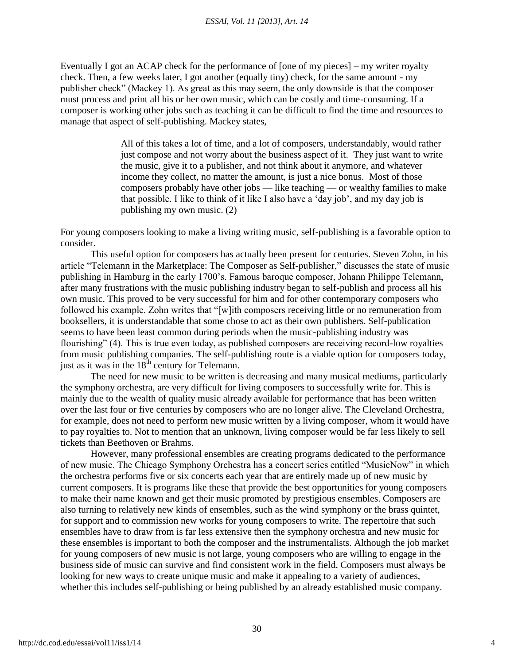Eventually I got an ACAP check for the performance of [one of my pieces] – my writer royalty check. Then, a few weeks later, I got another (equally tiny) check, for the same amount - my publisher check‖ (Mackey 1). As great as this may seem, the only downside is that the composer must process and print all his or her own music, which can be costly and time-consuming. If a composer is working other jobs such as teaching it can be difficult to find the time and resources to manage that aspect of self-publishing. Mackey states,

> All of this takes a lot of time, and a lot of composers, understandably, would rather just compose and not worry about the business aspect of it. They just want to write the music, give it to a publisher, and not think about it anymore, and whatever income they collect, no matter the amount, is just a nice bonus. Most of those composers probably have other jobs — like teaching — or wealthy families to make that possible. I like to think of it like I also have a 'day job', and my day job is publishing my own music. (2)

For young composers looking to make a living writing music, self-publishing is a favorable option to consider.

This useful option for composers has actually been present for centuries. Steven Zohn, in his article "Telemann in the Marketplace: The Composer as Self-publisher," discusses the state of music publishing in Hamburg in the early 1700's. Famous baroque composer, Johann Philippe Telemann, after many frustrations with the music publishing industry began to self-publish and process all his own music. This proved to be very successful for him and for other contemporary composers who followed his example. Zohn writes that "[w]ith composers receiving little or no remuneration from booksellers, it is understandable that some chose to act as their own publishers. Self-publication seems to have been least common during periods when the music-publishing industry was flourishing" (4). This is true even today, as published composers are receiving record-low royalties from music publishing companies. The self-publishing route is a viable option for composers today, just as it was in the  $18<sup>th</sup>$  century for Telemann.

The need for new music to be written is decreasing and many musical mediums, particularly the symphony orchestra, are very difficult for living composers to successfully write for. This is mainly due to the wealth of quality music already available for performance that has been written over the last four or five centuries by composers who are no longer alive. The Cleveland Orchestra, for example, does not need to perform new music written by a living composer, whom it would have to pay royalties to. Not to mention that an unknown, living composer would be far less likely to sell tickets than Beethoven or Brahms.

However, many professional ensembles are creating programs dedicated to the performance of new music. The Chicago Symphony Orchestra has a concert series entitled "MusicNow" in which the orchestra performs five or six concerts each year that are entirely made up of new music by current composers. It is programs like these that provide the best opportunities for young composers to make their name known and get their music promoted by prestigious ensembles. Composers are also turning to relatively new kinds of ensembles, such as the wind symphony or the brass quintet, for support and to commission new works for young composers to write. The repertoire that such ensembles have to draw from is far less extensive then the symphony orchestra and new music for these ensembles is important to both the composer and the instrumentalists. Although the job market for young composers of new music is not large, young composers who are willing to engage in the business side of music can survive and find consistent work in the field. Composers must always be looking for new ways to create unique music and make it appealing to a variety of audiences, whether this includes self-publishing or being published by an already established music company.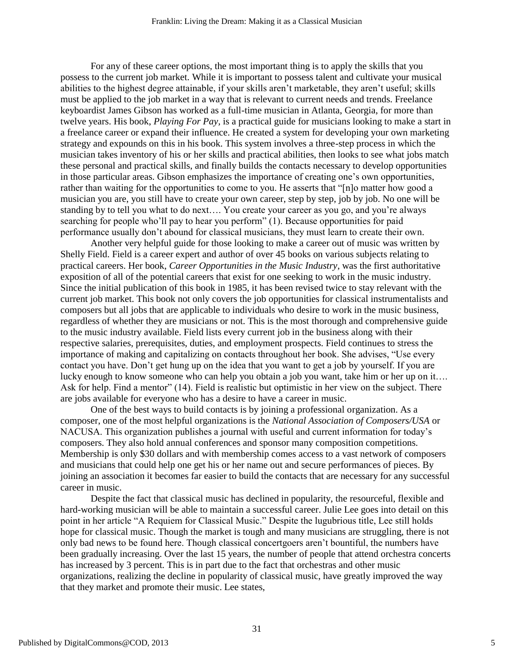For any of these career options, the most important thing is to apply the skills that you possess to the current job market. While it is important to possess talent and cultivate your musical abilities to the highest degree attainable, if your skills aren't marketable, they aren't useful; skills must be applied to the job market in a way that is relevant to current needs and trends. Freelance keyboardist James Gibson has worked as a full-time musician in Atlanta, Georgia, for more than twelve years. His book, *Playing For Pay,* is a practical guide for musicians looking to make a start in a freelance career or expand their influence. He created a system for developing your own marketing strategy and expounds on this in his book. This system involves a three-step process in which the musician takes inventory of his or her skills and practical abilities, then looks to see what jobs match these personal and practical skills, and finally builds the contacts necessary to develop opportunities in those particular areas. Gibson emphasizes the importance of creating one's own opportunities, rather than waiting for the opportunities to come to you. He asserts that "[n]o matter how good a musician you are, you still have to create your own career, step by step, job by job. No one will be standing by to tell you what to do next…. You create your career as you go, and you're always searching for people who'll pay to hear you perform" (1). Because opportunities for paid performance usually don't abound for classical musicians, they must learn to create their own.

Another very helpful guide for those looking to make a career out of music was written by Shelly Field. Field is a career expert and author of over 45 books on various subjects relating to practical careers. Her book, *Career Opportunities in the Music Industry*, was the first authoritative exposition of all of the potential careers that exist for one seeking to work in the music industry. Since the initial publication of this book in 1985, it has been revised twice to stay relevant with the current job market. This book not only covers the job opportunities for classical instrumentalists and composers but all jobs that are applicable to individuals who desire to work in the music business, regardless of whether they are musicians or not. This is the most thorough and comprehensive guide to the music industry available. Field lists every current job in the business along with their respective salaries, prerequisites, duties, and employment prospects. Field continues to stress the importance of making and capitalizing on contacts throughout her book. She advises, "Use every contact you have. Don't get hung up on the idea that you want to get a job by yourself. If you are lucky enough to know someone who can help you obtain a job you want, take him or her up on it…. Ask for help. Find a mentor" (14). Field is realistic but optimistic in her view on the subject. There are jobs available for everyone who has a desire to have a career in music.

One of the best ways to build contacts is by joining a professional organization. As a composer, one of the most helpful organizations is the *National Association of Composers/USA* or NACUSA. This organization publishes a journal with useful and current information for today's composers. They also hold annual conferences and sponsor many composition competitions. Membership is only \$30 dollars and with membership comes access to a vast network of composers and musicians that could help one get his or her name out and secure performances of pieces. By joining an association it becomes far easier to build the contacts that are necessary for any successful career in music.

Despite the fact that classical music has declined in popularity, the resourceful, flexible and hard-working musician will be able to maintain a successful career. Julie Lee goes into detail on this point in her article "A Requiem for Classical Music." Despite the lugubrious title, Lee still holds hope for classical music. Though the market is tough and many musicians are struggling, there is not only bad news to be found here. Though classical concertgoers aren't bountiful, the numbers have been gradually increasing. Over the last 15 years, the number of people that attend orchestra concerts has increased by 3 percent. This is in part due to the fact that orchestras and other music organizations, realizing the decline in popularity of classical music, have greatly improved the way that they market and promote their music. Lee states,